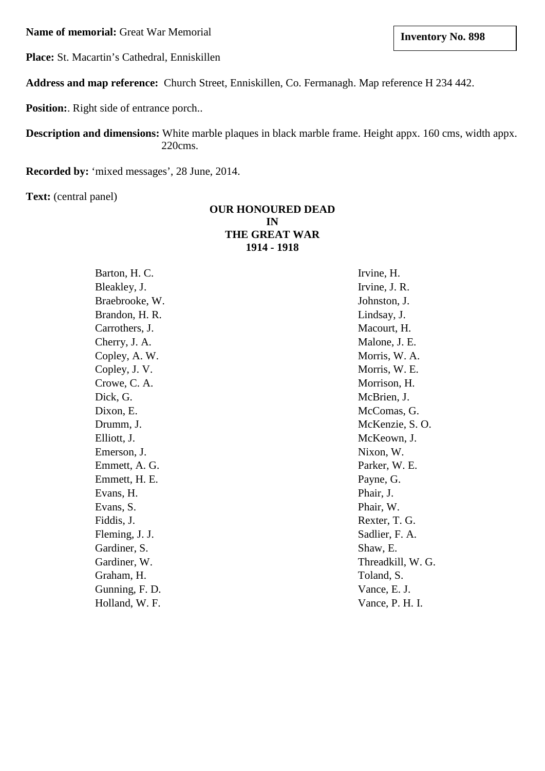**Name of memorial:** Great War Memorial

**Place:** St. Macartin's Cathedral, Enniskillen

**Address and map reference:** Church Street, Enniskillen, Co. Fermanagh. Map reference H 234 442.

**Position:**. Right side of entrance porch..

**Description and dimensions:** White marble plaques in black marble frame. Height appx. 160 cms, width appx. 220cms.

**Recorded by:** 'mixed messages', 28 June, 2014.

**Text:** (central panel)

## **OUR HONOURED DEAD IN THE GREAT WAR 1914 - 1918**

| Barton, H. C.  |  |  |
|----------------|--|--|
| Bleakley, J.   |  |  |
| Braebrooke, W. |  |  |
| Brandon, H. R. |  |  |
| Carrothers, J. |  |  |
| Cherry, J. A.  |  |  |
| Copley, A. W.  |  |  |
| Copley, J.V.   |  |  |
| Crowe, C. A.   |  |  |
| Dick, G.       |  |  |
| Dixon, E.      |  |  |
| Drumm, J.      |  |  |
| Elliott, J.    |  |  |
| Emerson, J.    |  |  |
| Emmett, A. G.  |  |  |
| Emmett, H. E.  |  |  |
| Evans, H.      |  |  |
| Evans, S.      |  |  |
| Fiddis, J.     |  |  |
| Fleming, J. J. |  |  |
| Gardiner, S.   |  |  |
| Gardiner, W.   |  |  |
| Graham, H.     |  |  |
| Gunning, F. D. |  |  |
| Holland, W. F. |  |  |

Irvine, H. Irvine, J. R. Johnston, J. Lindsay, J. Macourt, H. Malone, J. E. Morris, W. A. Morris, W. E. Morrison, H. McBrien, J. McComas, G. McKenzie, S. O. McKeown, J. Nixon, W. Parker, W. E. Payne, G. Phair, J. Phair, W. Rexter, T. G. Sadlier, F. A. Shaw, E. Threadkill, W. G. Toland, S. Vance, E. J. Vance, P. H. I.